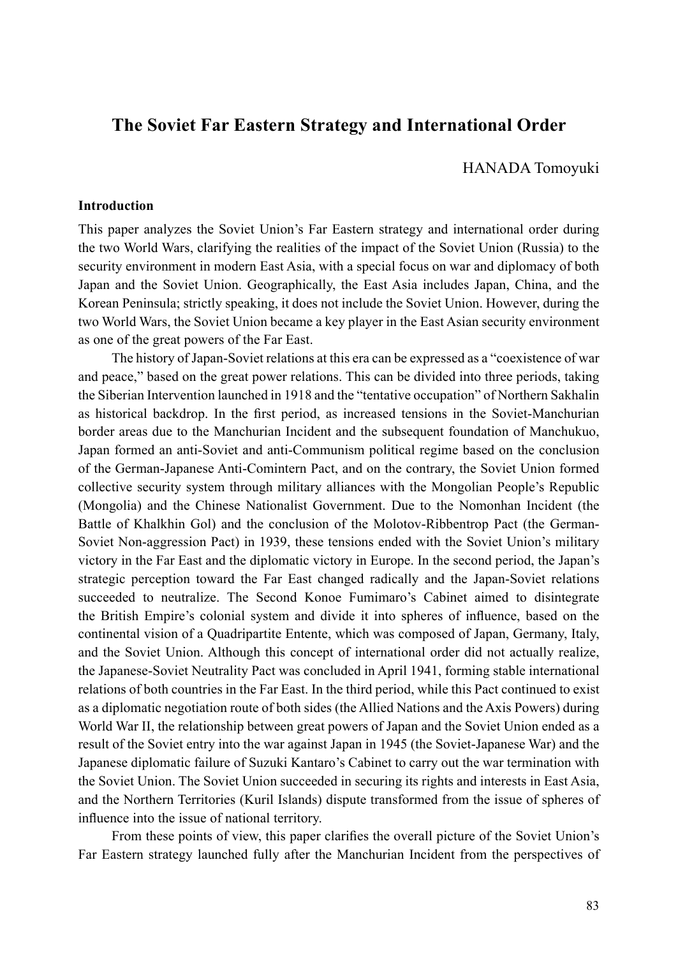# **The Soviet Far Eastern Strategy and International Order**

HANADA Tomoyuki

### **Introduction**

This paper analyzes the Soviet Union's Far Eastern strategy and international order during the two World Wars, clarifying the realities of the impact of the Soviet Union (Russia) to the security environment in modern East Asia, with a special focus on war and diplomacy of both Japan and the Soviet Union. Geographically, the East Asia includes Japan, China, and the Korean Peninsula; strictly speaking, it does not include the Soviet Union. However, during the two World Wars, the Soviet Union became a key player in the East Asian security environment as one of the great powers of the Far East.

The history of Japan-Soviet relations at this era can be expressed as a "coexistence of war and peace," based on the great power relations. This can be divided into three periods, taking the Siberian Intervention launched in 1918 and the "tentative occupation" of Northern Sakhalin as historical backdrop. In the first period, as increased tensions in the Soviet-Manchurian border areas due to the Manchurian Incident and the subsequent foundation of Manchukuo, Japan formed an anti-Soviet and anti-Communism political regime based on the conclusion of the German-Japanese Anti-Comintern Pact, and on the contrary, the Soviet Union formed collective security system through military alliances with the Mongolian People's Republic (Mongolia) and the Chinese Nationalist Government. Due to the Nomonhan Incident (the Battle of Khalkhin Gol) and the conclusion of the Molotov-Ribbentrop Pact (the German-Soviet Non-aggression Pact) in 1939, these tensions ended with the Soviet Union's military victory in the Far East and the diplomatic victory in Europe. In the second period, the Japan's strategic perception toward the Far East changed radically and the Japan-Soviet relations succeeded to neutralize. The Second Konoe Fumimaro's Cabinet aimed to disintegrate the British Empire's colonial system and divide it into spheres of influence, based on the continental vision of a Quadripartite Entente, which was composed of Japan, Germany, Italy, and the Soviet Union. Although this concept of international order did not actually realize, the Japanese-Soviet Neutrality Pact was concluded in April 1941, forming stable international relations of both countries in the Far East. In the third period, while this Pact continued to exist as a diplomatic negotiation route of both sides (the Allied Nations and the Axis Powers) during World War II, the relationship between great powers of Japan and the Soviet Union ended as a result of the Soviet entry into the war against Japan in 1945 (the Soviet-Japanese War) and the Japanese diplomatic failure of Suzuki Kantaro's Cabinet to carry out the war termination with the Soviet Union. The Soviet Union succeeded in securing its rights and interests in East Asia, and the Northern Territories (Kuril Islands) dispute transformed from the issue of spheres of influence into the issue of national territory.

From these points of view, this paper clarifies the overall picture of the Soviet Union's Far Eastern strategy launched fully after the Manchurian Incident from the perspectives of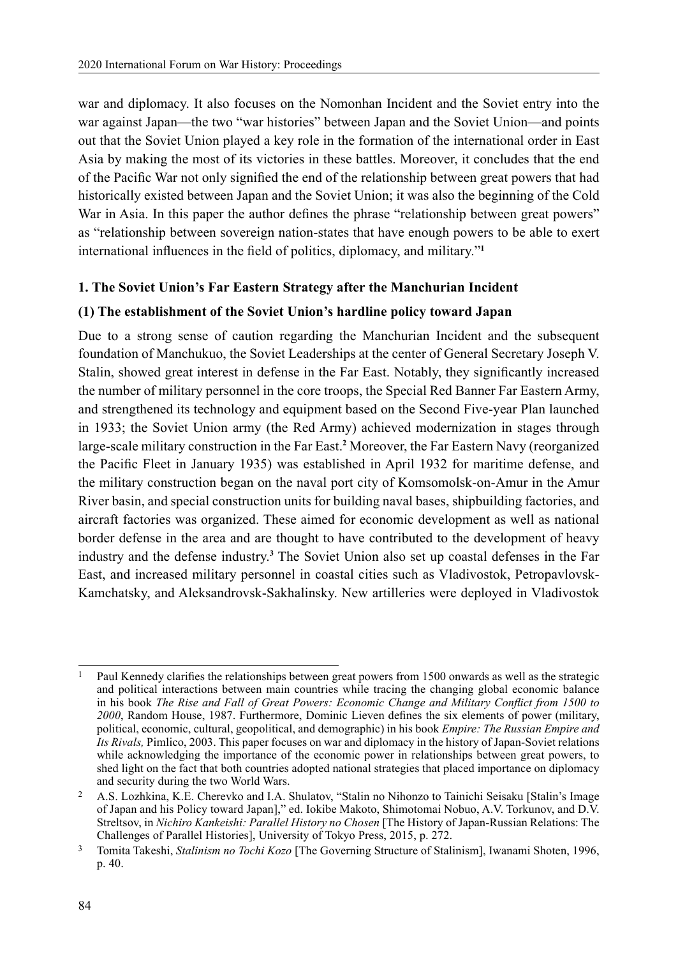war and diplomacy. It also focuses on the Nomonhan Incident and the Soviet entry into the war against Japan—the two "war histories" between Japan and the Soviet Union—and points out that the Soviet Union played a key role in the formation of the international order in East Asia by making the most of its victories in these battles. Moreover, it concludes that the end of the Pacific War not only signified the end of the relationship between great powers that had historically existed between Japan and the Soviet Union; it was also the beginning of the Cold War in Asia. In this paper the author defines the phrase "relationship between great powers" as "relationship between sovereign nation-states that have enough powers to be able to exert international influences in the field of politics, diplomacy, and military."**<sup>1</sup>**

## **1. The Soviet Union's Far Eastern Strategy after the Manchurian Incident**

# **(1) The establishment of the Soviet Union's hardline policy toward Japan**

Due to a strong sense of caution regarding the Manchurian Incident and the subsequent foundation of Manchukuo, the Soviet Leaderships at the center of General Secretary Joseph V. Stalin, showed great interest in defense in the Far East. Notably, they significantly increased the number of military personnel in the core troops, the Special Red Banner Far Eastern Army, and strengthened its technology and equipment based on the Second Five-year Plan launched in 1933; the Soviet Union army (the Red Army) achieved modernization in stages through large-scale military construction in the Far East.<sup>2</sup> Moreover, the Far Eastern Navy (reorganized the Pacific Fleet in January 1935) was established in April 1932 for maritime defense, and the military construction began on the naval port city of Komsomolsk-on-Amur in the Amur River basin, and special construction units for building naval bases, shipbuilding factories, and aircraft factories was organized. These aimed for economic development as well as national border defense in the area and are thought to have contributed to the development of heavy industry and the defense industry.**<sup>3</sup>** The Soviet Union also set up coastal defenses in the Far East, and increased military personnel in coastal cities such as Vladivostok, Petropavlovsk-Kamchatsky, and Aleksandrovsk-Sakhalinsky. New artilleries were deployed in Vladivostok

<sup>1</sup> Paul Kennedy clarifies the relationships between great powers from 1500 onwards as well as the strategic and political interactions between main countries while tracing the changing global economic balance in his book *The Rise and Fall of Great Powers: Economic Change and Military Conflict from 1500 to 2000*, Random House, 1987. Furthermore, Dominic Lieven defines the six elements of power (military, political, economic, cultural, geopolitical, and demographic) in his book *Empire: The Russian Empire and Its Rivals,* Pimlico, 2003. This paper focuses on war and diplomacy in the history of Japan-Soviet relations while acknowledging the importance of the economic power in relationships between great powers, to shed light on the fact that both countries adopted national strategies that placed importance on diplomacy and security during the two World Wars.

<sup>2</sup> A.S. Lozhkina, K.E. Cherevko and I.A. Shulatov, "Stalin no Nihonzo to Tainichi Seisaku [Stalin's Image of Japan and his Policy toward Japan]," ed. Iokibe Makoto, Shimotomai Nobuo, A.V. Torkunov, and D.V. Streltsov, in *Nichiro Kankeishi: Parallel History no Chosen* [The History of Japan-Russian Relations: The Challenges of Parallel Histories], University of Tokyo Press, 2015, p. 272.

<sup>3</sup> Tomita Takeshi, *Stalinism no Tochi Kozo* [The Governing Structure of Stalinism], Iwanami Shoten, 1996, p. 40.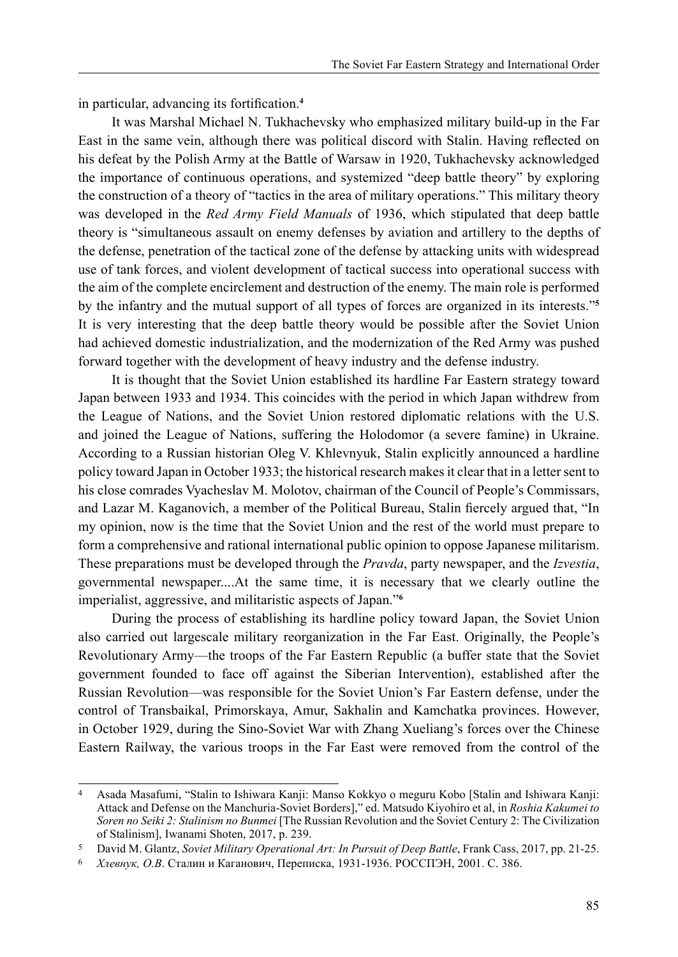in particular, advancing its fortification.**<sup>4</sup>**

It was Marshal Michael N. Tukhachevsky who emphasized military build-up in the Far East in the same vein, although there was political discord with Stalin. Having reflected on his defeat by the Polish Army at the Battle of Warsaw in 1920, Tukhachevsky acknowledged the importance of continuous operations, and systemized "deep battle theory" by exploring the construction of a theory of "tactics in the area of military operations." This military theory was developed in the *Red Army Field Manuals* of 1936, which stipulated that deep battle theory is "simultaneous assault on enemy defenses by aviation and artillery to the depths of the defense, penetration of the tactical zone of the defense by attacking units with widespread use of tank forces, and violent development of tactical success into operational success with the aim of the complete encirclement and destruction of the enemy. The main role is performed by the infantry and the mutual support of all types of forces are organized in its interests."**<sup>5</sup>** It is very interesting that the deep battle theory would be possible after the Soviet Union had achieved domestic industrialization, and the modernization of the Red Army was pushed forward together with the development of heavy industry and the defense industry.

It is thought that the Soviet Union established its hardline Far Eastern strategy toward Japan between 1933 and 1934. This coincides with the period in which Japan withdrew from the League of Nations, and the Soviet Union restored diplomatic relations with the U.S. and joined the League of Nations, suffering the Holodomor (a severe famine) in Ukraine. According to a Russian historian Oleg V. Khlevnyuk, Stalin explicitly announced a hardline policy toward Japan in October 1933; the historical research makes it clear that in a letter sent to his close comrades Vyacheslav M. Molotov, chairman of the Council of People's Commissars, and Lazar M. Kaganovich, a member of the Political Bureau, Stalin fiercely argued that, "In my opinion, now is the time that the Soviet Union and the rest of the world must prepare to form a comprehensive and rational international public opinion to oppose Japanese militarism. These preparations must be developed through the *Pravda*, party newspaper, and the *Izvestia*, governmental newspaper....At the same time, it is necessary that we clearly outline the imperialist, aggressive, and militaristic aspects of Japan."**<sup>6</sup>**

During the process of establishing its hardline policy toward Japan, the Soviet Union also carried out largescale military reorganization in the Far East. Originally, the People's Revolutionary Army—the troops of the Far Eastern Republic (a buffer state that the Soviet government founded to face off against the Siberian Intervention), established after the Russian Revolution—was responsible for the Soviet Union's Far Eastern defense, under the control of Transbaikal, Primorskaya, Amur, Sakhalin and Kamchatka provinces. However, in October 1929, during the Sino-Soviet War with Zhang Xueliang's forces over the Chinese Eastern Railway, the various troops in the Far East were removed from the control of the

<sup>4</sup> Asada Masafumi, "Stalin to Ishiwara Kanji: Manso Kokkyo o meguru Kobo [Stalin and Ishiwara Kanji: Attack and Defense on the Manchuria-Soviet Borders]," ed. Matsudo Kiyohiro et al, in *Roshia Kakumei to Soren no Seiki 2: Stalinism no Bunmei* [The Russian Revolution and the Soviet Century 2: The Civilization of Stalinism], Iwanami Shoten, 2017, p. 239.

<sup>5</sup> David M. Glantz, *Soviet Military Operational Art: In Pursuit of Deep Battle*, Frank Cass, 2017, pp. 21-25.

<sup>6</sup> *Хлевнук, О.В*. Сталин и Каганович, Переписка, 1931-1936. РОССПЭН, 2001. С. 386.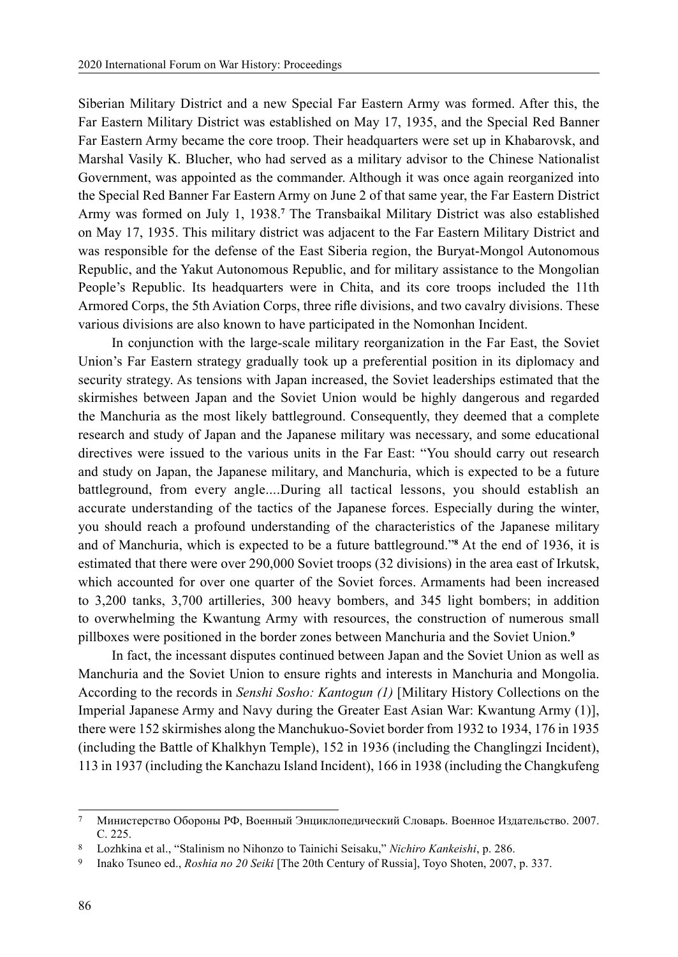Siberian Military District and a new Special Far Eastern Army was formed. After this, the Far Eastern Military District was established on May 17, 1935, and the Special Red Banner Far Eastern Army became the core troop. Their headquarters were set up in Khabarovsk, and Marshal Vasily K. Blucher, who had served as a military advisor to the Chinese Nationalist Government, was appointed as the commander. Although it was once again reorganized into the Special Red Banner Far Eastern Army on June 2 of that same year, the Far Eastern District Army was formed on July 1, 1938.**<sup>7</sup>** The Transbaikal Military District was also established on May 17, 1935. This military district was adjacent to the Far Eastern Military District and was responsible for the defense of the East Siberia region, the Buryat-Mongol Autonomous Republic, and the Yakut Autonomous Republic, and for military assistance to the Mongolian People's Republic. Its headquarters were in Chita, and its core troops included the 11th Armored Corps, the 5th Aviation Corps, three rifle divisions, and two cavalry divisions. These various divisions are also known to have participated in the Nomonhan Incident.

In conjunction with the large-scale military reorganization in the Far East, the Soviet Union's Far Eastern strategy gradually took up a preferential position in its diplomacy and security strategy. As tensions with Japan increased, the Soviet leaderships estimated that the skirmishes between Japan and the Soviet Union would be highly dangerous and regarded the Manchuria as the most likely battleground. Consequently, they deemed that a complete research and study of Japan and the Japanese military was necessary, and some educational directives were issued to the various units in the Far East: "You should carry out research and study on Japan, the Japanese military, and Manchuria, which is expected to be a future battleground, from every angle....During all tactical lessons, you should establish an accurate understanding of the tactics of the Japanese forces. Especially during the winter, you should reach a profound understanding of the characteristics of the Japanese military and of Manchuria, which is expected to be a future battleground."**<sup>8</sup>** At the end of 1936, it is estimated that there were over 290,000 Soviet troops (32 divisions) in the area east of Irkutsk, which accounted for over one quarter of the Soviet forces. Armaments had been increased to 3,200 tanks, 3,700 artilleries, 300 heavy bombers, and 345 light bombers; in addition to overwhelming the Kwantung Army with resources, the construction of numerous small pillboxes were positioned in the border zones between Manchuria and the Soviet Union.**<sup>9</sup>**

In fact, the incessant disputes continued between Japan and the Soviet Union as well as Manchuria and the Soviet Union to ensure rights and interests in Manchuria and Mongolia. According to the records in *Senshi Sosho: Kantogun (1)* [Military History Collections on the Imperial Japanese Army and Navy during the Greater East Asian War: Kwantung Army (1)], there were 152 skirmishes along the Manchukuo-Soviet border from 1932 to 1934, 176 in 1935 (including the Battle of Khalkhyn Temple), 152 in 1936 (including the Changlingzi Incident), 113 in 1937 (including the Kanchazu Island Incident), 166 in 1938 (including the Changkufeng

<sup>7</sup> Министерство Обороны РФ, Военный Энциклопедический Словарь. Военное Издательство. 2007. С. 225.

<sup>8</sup> Lozhkina et al., "Stalinism no Nihonzo to Tainichi Seisaku," *Nichiro Kankeishi*, p. 286.

<sup>9</sup> Inako Tsuneo ed., *Roshia no 20 Seiki* [The 20th Century of Russia], Toyo Shoten, 2007, p. 337.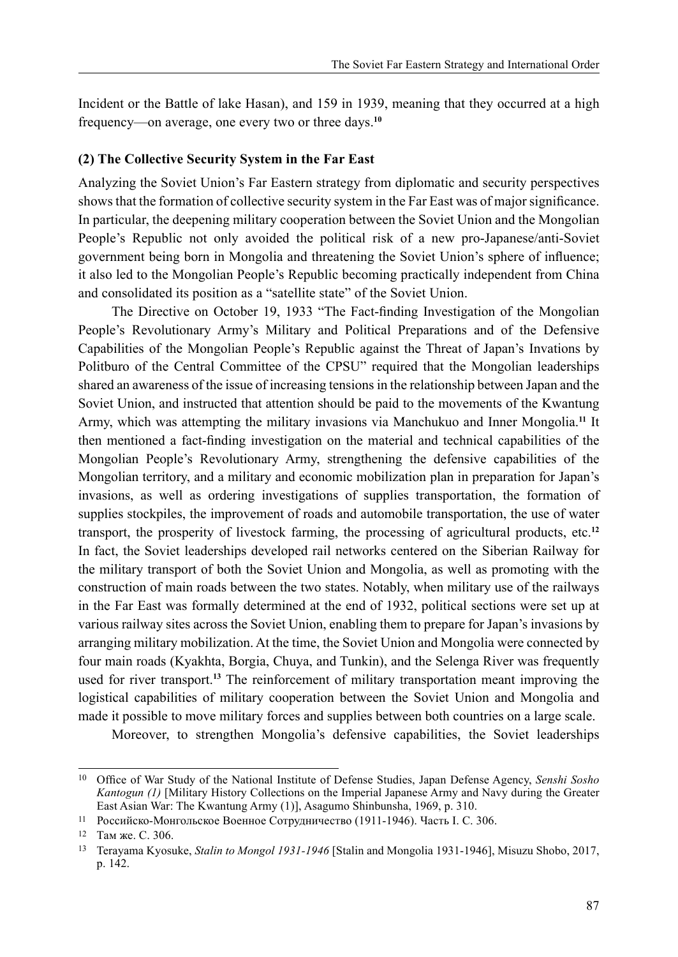Incident or the Battle of lake Hasan), and 159 in 1939, meaning that they occurred at a high frequency—on average, one every two or three days.**<sup>10</sup>**

### **(2) The Collective Security System in the Far East**

Analyzing the Soviet Union's Far Eastern strategy from diplomatic and security perspectives shows that the formation of collective security system in the Far East was of major significance. In particular, the deepening military cooperation between the Soviet Union and the Mongolian People's Republic not only avoided the political risk of a new pro-Japanese/anti-Soviet government being born in Mongolia and threatening the Soviet Union's sphere of influence; it also led to the Mongolian People's Republic becoming practically independent from China and consolidated its position as a "satellite state" of the Soviet Union.

The Directive on October 19, 1933 "The Fact-finding Investigation of the Mongolian People's Revolutionary Army's Military and Political Preparations and of the Defensive Capabilities of the Mongolian People's Republic against the Threat of Japan's Invations by Politburo of the Central Committee of the CPSU" required that the Mongolian leaderships shared an awareness of the issue of increasing tensions in the relationship between Japan and the Soviet Union, and instructed that attention should be paid to the movements of the Kwantung Army, which was attempting the military invasions via Manchukuo and Inner Mongolia.**<sup>11</sup>** It then mentioned a fact-finding investigation on the material and technical capabilities of the Mongolian People's Revolutionary Army, strengthening the defensive capabilities of the Mongolian territory, and a military and economic mobilization plan in preparation for Japan's invasions, as well as ordering investigations of supplies transportation, the formation of supplies stockpiles, the improvement of roads and automobile transportation, the use of water transport, the prosperity of livestock farming, the processing of agricultural products, etc.**<sup>12</sup>** In fact, the Soviet leaderships developed rail networks centered on the Siberian Railway for the military transport of both the Soviet Union and Mongolia, as well as promoting with the construction of main roads between the two states. Notably, when military use of the railways in the Far East was formally determined at the end of 1932, political sections were set up at various railway sites across the Soviet Union, enabling them to prepare for Japan's invasions by arranging military mobilization. At the time, the Soviet Union and Mongolia were connected by four main roads (Kyakhta, Borgia, Chuya, and Tunkin), and the Selenga River was frequently used for river transport.**<sup>13</sup>** The reinforcement of military transportation meant improving the logistical capabilities of military cooperation between the Soviet Union and Mongolia and made it possible to move military forces and supplies between both countries on a large scale.

Moreover, to strengthen Mongolia's defensive capabilities, the Soviet leaderships

<sup>10</sup> Office of War Study of the National Institute of Defense Studies, Japan Defense Agency, *Senshi Sosho Kantogun (1)* [Military History Collections on the Imperial Japanese Army and Navy during the Greater East Asian War: The Kwantung Army (1)], Asagumo Shinbunsha, 1969, p. 310.

<sup>11</sup> Российско-Монгольское Военное Сотрудничество (1911-1946). Часть I. C. 306.

<sup>12</sup> Там же. С. 306.

<sup>13</sup> Terayama Kyosuke, *Stalin to Mongol 1931-1946* [Stalin and Mongolia 1931-1946], Misuzu Shobo, 2017, p. 142.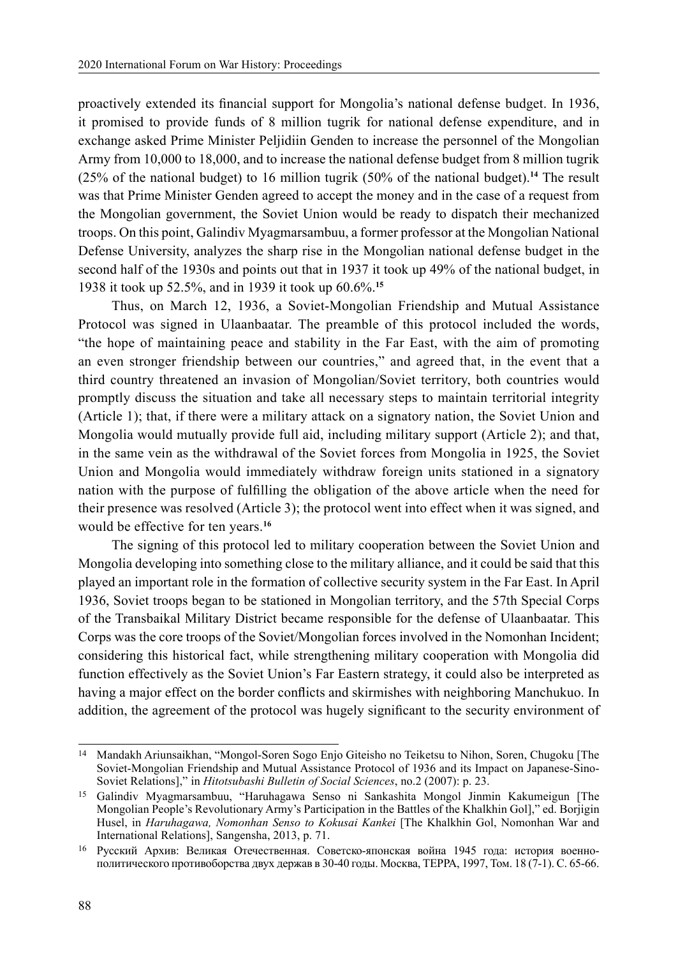proactively extended its financial support for Mongolia's national defense budget. In 1936, it promised to provide funds of 8 million tugrik for national defense expenditure, and in exchange asked Prime Minister Peljidiin Genden to increase the personnel of the Mongolian Army from 10,000 to 18,000, and to increase the national defense budget from 8 million tugrik (25% of the national budget) to 16 million tugrik (50% of the national budget).**<sup>14</sup>** The result was that Prime Minister Genden agreed to accept the money and in the case of a request from the Mongolian government, the Soviet Union would be ready to dispatch their mechanized troops. On this point, Galindiv Myagmarsambuu, a former professor at the Mongolian National Defense University, analyzes the sharp rise in the Mongolian national defense budget in the second half of the 1930s and points out that in 1937 it took up 49% of the national budget, in 1938 it took up 52.5%, and in 1939 it took up 60.6%.**<sup>15</sup>**

Thus, on March 12, 1936, a Soviet-Mongolian Friendship and Mutual Assistance Protocol was signed in Ulaanbaatar. The preamble of this protocol included the words, "the hope of maintaining peace and stability in the Far East, with the aim of promoting an even stronger friendship between our countries," and agreed that, in the event that a third country threatened an invasion of Mongolian/Soviet territory, both countries would promptly discuss the situation and take all necessary steps to maintain territorial integrity (Article 1); that, if there were a military attack on a signatory nation, the Soviet Union and Mongolia would mutually provide full aid, including military support (Article 2); and that, in the same vein as the withdrawal of the Soviet forces from Mongolia in 1925, the Soviet Union and Mongolia would immediately withdraw foreign units stationed in a signatory nation with the purpose of fulfilling the obligation of the above article when the need for their presence was resolved (Article 3); the protocol went into effect when it was signed, and would be effective for ten years.**<sup>16</sup>**

The signing of this protocol led to military cooperation between the Soviet Union and Mongolia developing into something close to the military alliance, and it could be said that this played an important role in the formation of collective security system in the Far East. In April 1936, Soviet troops began to be stationed in Mongolian territory, and the 57th Special Corps of the Transbaikal Military District became responsible for the defense of Ulaanbaatar. This Corps was the core troops of the Soviet/Mongolian forces involved in the Nomonhan Incident; considering this historical fact, while strengthening military cooperation with Mongolia did function effectively as the Soviet Union's Far Eastern strategy, it could also be interpreted as having a major effect on the border conflicts and skirmishes with neighboring Manchukuo. In addition, the agreement of the protocol was hugely significant to the security environment of

<sup>14</sup> Mandakh Ariunsaikhan, "Mongol-Soren Sogo Enjo Giteisho no Teiketsu to Nihon, Soren, Chugoku [The Soviet-Mongolian Friendship and Mutual Assistance Protocol of 1936 and its Impact on Japanese-Sino-Soviet Relations]," in *Hitotsubashi Bulletin of Social Sciences*, no.2 (2007): p. 23.

<sup>15</sup> Galindiv Myagmarsambuu, "Haruhagawa Senso ni Sankashita Mongol Jinmin Kakumeigun [The Mongolian People's Revolutionary Army's Participation in the Battles of the Khalkhin Gol]," ed. Borjigin Husel, in *Haruhagawa, Nomonhan Senso to Kokusai Kankei* [The Khalkhin Gol, Nomonhan War and International Relations], Sangensha, 2013, p. 71.

<sup>16</sup> Русский Архив: Великая Отечественная. Советско-японская война 1945 года: история военнополитического противоборства двух держав в 30-40 годы. Москва, ТЕРРА, 1997, Том. 18 (7-1). С. 65-66.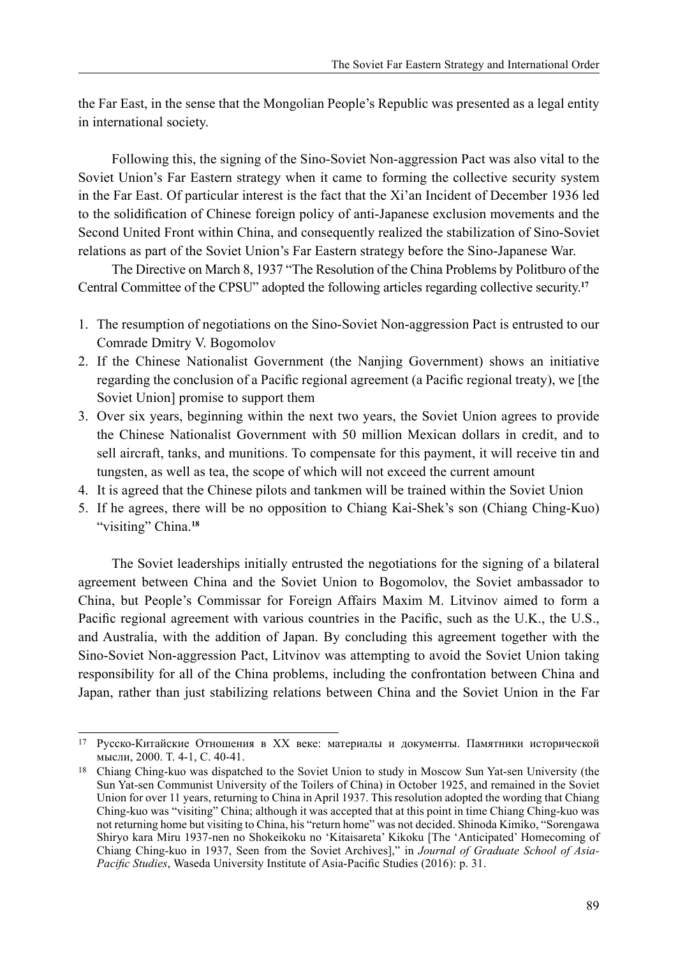the Far East, in the sense that the Mongolian People's Republic was presented as a legal entity in international society.

Following this, the signing of the Sino-Soviet Non-aggression Pact was also vital to the Soviet Union's Far Eastern strategy when it came to forming the collective security system in the Far East. Of particular interest is the fact that the Xi'an Incident of December 1936 led to the solidification of Chinese foreign policy of anti-Japanese exclusion movements and the Second United Front within China, and consequently realized the stabilization of Sino-Soviet relations as part of the Soviet Union's Far Eastern strategy before the Sino-Japanese War.

The Directive on March 8, 1937 "The Resolution of the China Problems by Politburo of the Central Committee of the CPSU" adopted the following articles regarding collective security.**<sup>17</sup>**

- 1. The resumption of negotiations on the Sino-Soviet Non-aggression Pact is entrusted to our Comrade Dmitry V. Bogomolov
- 2. If the Chinese Nationalist Government (the Nanjing Government) shows an initiative regarding the conclusion of a Pacific regional agreement (a Pacific regional treaty), we [the Soviet Union] promise to support them
- 3. Over six years, beginning within the next two years, the Soviet Union agrees to provide the Chinese Nationalist Government with 50 million Mexican dollars in credit, and to sell aircraft, tanks, and munitions. To compensate for this payment, it will receive tin and tungsten, as well as tea, the scope of which will not exceed the current amount
- 4. It is agreed that the Chinese pilots and tankmen will be trained within the Soviet Union
- 5. If he agrees, there will be no opposition to Chiang Kai-Shek's son (Chiang Ching-Kuo) "visiting" China.**<sup>18</sup>**

The Soviet leaderships initially entrusted the negotiations for the signing of a bilateral agreement between China and the Soviet Union to Bogomolov, the Soviet ambassador to China, but People's Commissar for Foreign Affairs Maxim M. Litvinov aimed to form a Pacific regional agreement with various countries in the Pacific, such as the U.K., the U.S., and Australia, with the addition of Japan. By concluding this agreement together with the Sino-Soviet Non-aggression Pact, Litvinov was attempting to avoid the Soviet Union taking responsibility for all of the China problems, including the confrontation between China and Japan, rather than just stabilizing relations between China and the Soviet Union in the Far

<sup>17</sup> Русско-Китайские Отношения в XX веке: материалы и документы. Памятники исторической мысли, 2000. T. 4-1, C. 40-41.

<sup>18</sup> Chiang Ching-kuo was dispatched to the Soviet Union to study in Moscow Sun Yat-sen University (the Sun Yat-sen Communist University of the Toilers of China) in October 1925, and remained in the Soviet Union for over 11 years, returning to China in April 1937. This resolution adopted the wording that Chiang Ching-kuo was "visiting" China; although it was accepted that at this point in time Chiang Ching-kuo was not returning home but visiting to China, his "return home" was not decided. Shinoda Kimiko, "Sorengawa Shiryo kara Miru 1937-nen no Shokeikoku no 'Kitaisareta' Kikoku [The 'Anticipated' Homecoming of Chiang Ching-kuo in 1937, Seen from the Soviet Archives]," in *Journal of Graduate School of Asia-Pacific Studies*, Waseda University Institute of Asia-Pacific Studies (2016): p. 31.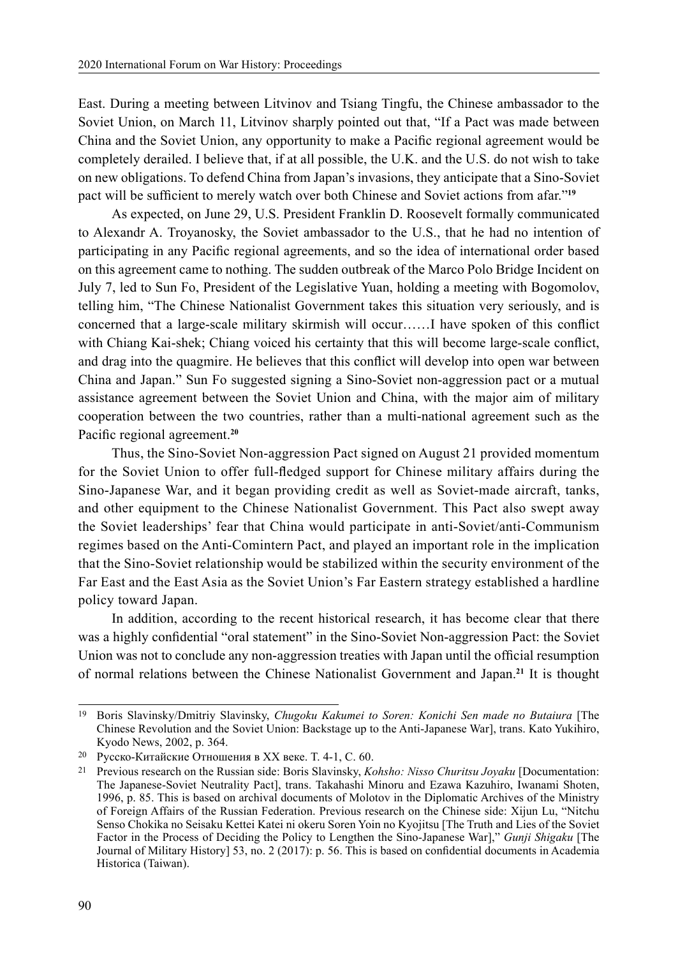East. During a meeting between Litvinov and Tsiang Tingfu, the Chinese ambassador to the Soviet Union, on March 11, Litvinov sharply pointed out that, "If a Pact was made between China and the Soviet Union, any opportunity to make a Pacific regional agreement would be completely derailed. I believe that, if at all possible, the U.K. and the U.S. do not wish to take on new obligations. To defend China from Japan's invasions, they anticipate that a Sino-Soviet pact will be sufficient to merely watch over both Chinese and Soviet actions from afar."**<sup>19</sup>**

As expected, on June 29, U.S. President Franklin D. Roosevelt formally communicated to Alexandr A. Troyanosky, the Soviet ambassador to the U.S., that he had no intention of participating in any Pacific regional agreements, and so the idea of international order based on this agreement came to nothing. The sudden outbreak of the Marco Polo Bridge Incident on July 7, led to Sun Fo, President of the Legislative Yuan, holding a meeting with Bogomolov, telling him, "The Chinese Nationalist Government takes this situation very seriously, and is concerned that a large-scale military skirmish will occur……I have spoken of this conflict with Chiang Kai-shek; Chiang voiced his certainty that this will become large-scale conflict, and drag into the quagmire. He believes that this conflict will develop into open war between China and Japan." Sun Fo suggested signing a Sino-Soviet non-aggression pact or a mutual assistance agreement between the Soviet Union and China, with the major aim of military cooperation between the two countries, rather than a multi-national agreement such as the Pacific regional agreement.**<sup>20</sup>**

Thus, the Sino-Soviet Non-aggression Pact signed on August 21 provided momentum for the Soviet Union to offer full-fledged support for Chinese military affairs during the Sino-Japanese War, and it began providing credit as well as Soviet-made aircraft, tanks, and other equipment to the Chinese Nationalist Government. This Pact also swept away the Soviet leaderships' fear that China would participate in anti-Soviet/anti-Communism regimes based on the Anti-Comintern Pact, and played an important role in the implication that the Sino-Soviet relationship would be stabilized within the security environment of the Far East and the East Asia as the Soviet Union's Far Eastern strategy established a hardline policy toward Japan.

In addition, according to the recent historical research, it has become clear that there was a highly confidential "oral statement" in the Sino-Soviet Non-aggression Pact: the Soviet Union was not to conclude any non-aggression treaties with Japan until the official resumption of normal relations between the Chinese Nationalist Government and Japan.**<sup>21</sup>** It is thought

<sup>19</sup> Boris Slavinsky/Dmitriy Slavinsky, *Chugoku Kakumei to Soren: Konichi Sen made no Butaiura* [The Chinese Revolution and the Soviet Union: Backstage up to the Anti-Japanese War], trans. Kato Yukihiro, Kyodo News, 2002, p. 364.

<sup>20</sup> Русско-Китайские Отношения в XX веке. T. 4-1, C. 60.

<sup>21</sup> Previous research on the Russian side: Boris Slavinsky, *Kohsho: Nisso Churitsu Joyaku* [Documentation: The Japanese-Soviet Neutrality Pact], trans. Takahashi Minoru and Ezawa Kazuhiro, Iwanami Shoten, 1996, p. 85. This is based on archival documents of Molotov in the Diplomatic Archives of the Ministry of Foreign Affairs of the Russian Federation. Previous research on the Chinese side: Xijun Lu, "Nitchu Senso Chokika no Seisaku Kettei Katei ni okeru Soren Yoin no Kyojitsu [The Truth and Lies of the Soviet Factor in the Process of Deciding the Policy to Lengthen the Sino-Japanese War]," *Gunji Shigaku* [The Journal of Military History] 53, no. 2 (2017): p. 56. This is based on confidential documents in Academia Historica (Taiwan).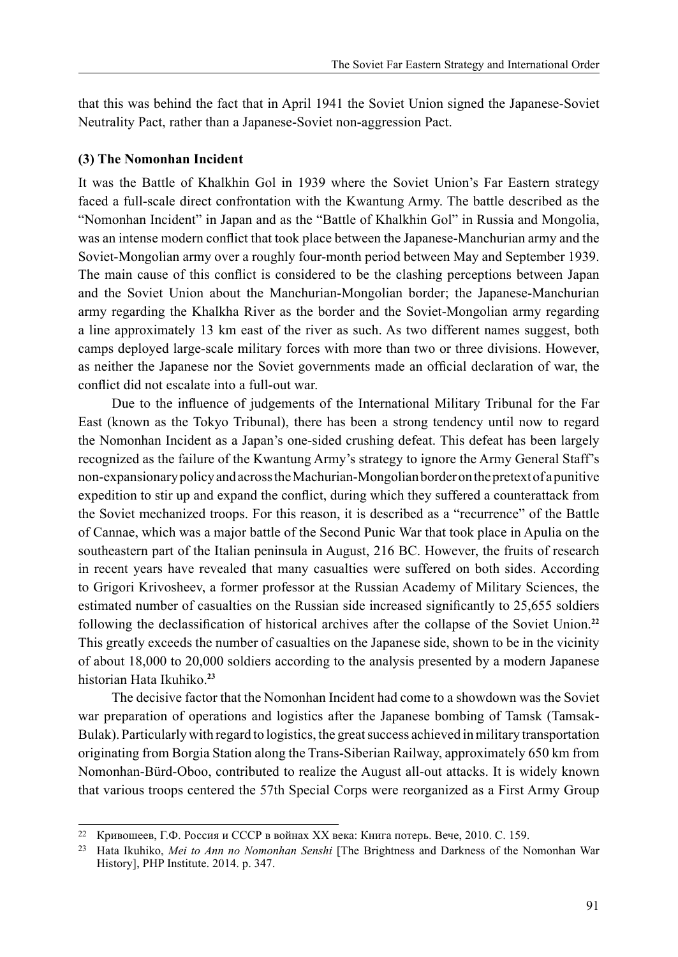that this was behind the fact that in April 1941 the Soviet Union signed the Japanese-Soviet Neutrality Pact, rather than a Japanese-Soviet non-aggression Pact.

### **(3) The Nomonhan Incident**

It was the Battle of Khalkhin Gol in 1939 where the Soviet Union's Far Eastern strategy faced a full-scale direct confrontation with the Kwantung Army. The battle described as the "Nomonhan Incident" in Japan and as the "Battle of Khalkhin Gol" in Russia and Mongolia, was an intense modern conflict that took place between the Japanese-Manchurian army and the Soviet-Mongolian army over a roughly four-month period between May and September 1939. The main cause of this conflict is considered to be the clashing perceptions between Japan and the Soviet Union about the Manchurian-Mongolian border; the Japanese-Manchurian army regarding the Khalkha River as the border and the Soviet-Mongolian army regarding a line approximately 13 km east of the river as such. As two different names suggest, both camps deployed large-scale military forces with more than two or three divisions. However, as neither the Japanese nor the Soviet governments made an official declaration of war, the conflict did not escalate into a full-out war.

Due to the influence of judgements of the International Military Tribunal for the Far East (known as the Tokyo Tribunal), there has been a strong tendency until now to regard the Nomonhan Incident as a Japan's one-sided crushing defeat. This defeat has been largely recognized as the failure of the Kwantung Army's strategy to ignore the Army General Staff's non-expansionary policy and across the Machurian-Mongolian border on the pretext of a punitive expedition to stir up and expand the conflict, during which they suffered a counterattack from the Soviet mechanized troops. For this reason, it is described as a "recurrence" of the Battle of Cannae, which was a major battle of the Second Punic War that took place in Apulia on the southeastern part of the Italian peninsula in August, 216 BC. However, the fruits of research in recent years have revealed that many casualties were suffered on both sides. According to Grigori Krivosheev, a former professor at the Russian Academy of Military Sciences, the estimated number of casualties on the Russian side increased significantly to 25,655 soldiers following the declassification of historical archives after the collapse of the Soviet Union.**<sup>22</sup>** This greatly exceeds the number of casualties on the Japanese side, shown to be in the vicinity of about 18,000 to 20,000 soldiers according to the analysis presented by a modern Japanese historian Hata Ikuhiko.**<sup>23</sup>**

The decisive factor that the Nomonhan Incident had come to a showdown was the Soviet war preparation of operations and logistics after the Japanese bombing of Tamsk (Tamsak-Bulak). Particularly with regard to logistics, the great success achieved in military transportation originating from Borgia Station along the Trans-Siberian Railway, approximately 650 km from Nomonhan-Bürd-Oboo, contributed to realize the August all-out attacks. It is widely known that various troops centered the 57th Special Corps were reorganized as a First Army Group

<sup>22</sup> Кривошеев, Г.Ф. Россия и СССР в войнах XX века: Книга потерь. Вече, 2010. С. 159.

<sup>23</sup> Hata Ikuhiko, *Mei to Ann no Nomonhan Senshi* [The Brightness and Darkness of the Nomonhan War History], PHP Institute. 2014. p. 347.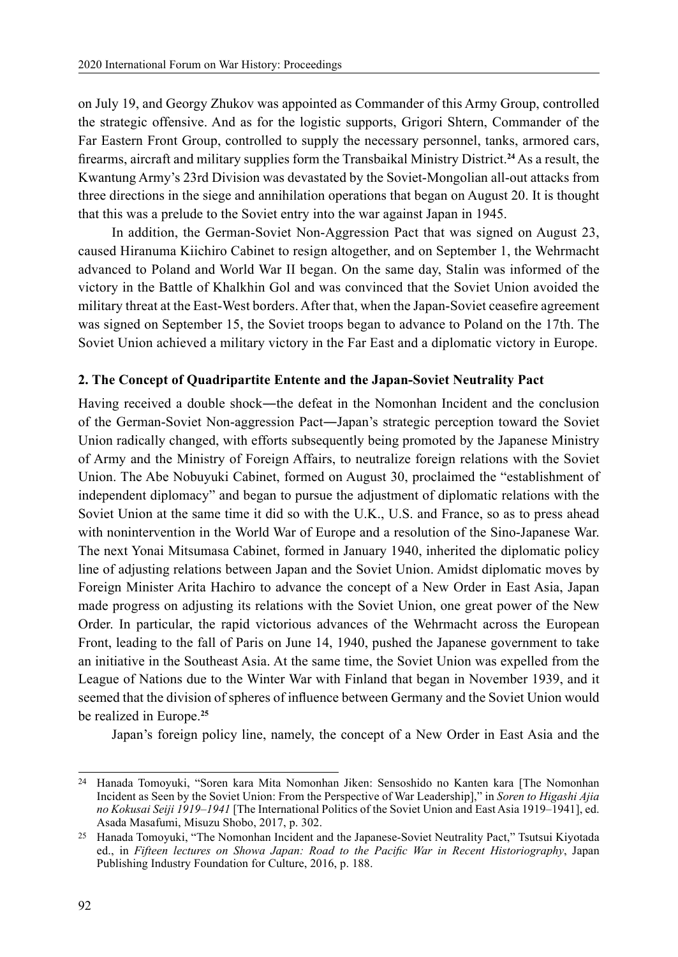on July 19, and Georgy Zhukov was appointed as Commander of this Army Group, controlled the strategic offensive. And as for the logistic supports, Grigori Shtern, Commander of the Far Eastern Front Group, controlled to supply the necessary personnel, tanks, armored cars, firearms, aircraft and military supplies form the Transbaikal Ministry District.**<sup>24</sup>** As a result, the Kwantung Army's 23rd Division was devastated by the Soviet-Mongolian all-out attacks from three directions in the siege and annihilation operations that began on August 20. It is thought that this was a prelude to the Soviet entry into the war against Japan in 1945.

In addition, the German-Soviet Non-Aggression Pact that was signed on August 23, caused Hiranuma Kiichiro Cabinet to resign altogether, and on September 1, the Wehrmacht advanced to Poland and World War II began. On the same day, Stalin was informed of the victory in the Battle of Khalkhin Gol and was convinced that the Soviet Union avoided the military threat at the East-West borders. After that, when the Japan-Soviet ceasefire agreement was signed on September 15, the Soviet troops began to advance to Poland on the 17th. The Soviet Union achieved a military victory in the Far East and a diplomatic victory in Europe.

## **2. The Concept of Quadripartite Entente and the Japan-Soviet Neutrality Pact**

Having received a double shock—the defeat in the Nomonhan Incident and the conclusion of the German-Soviet Non-aggression Pact―Japan's strategic perception toward the Soviet Union radically changed, with efforts subsequently being promoted by the Japanese Ministry of Army and the Ministry of Foreign Affairs, to neutralize foreign relations with the Soviet Union. The Abe Nobuyuki Cabinet, formed on August 30, proclaimed the "establishment of independent diplomacy" and began to pursue the adjustment of diplomatic relations with the Soviet Union at the same time it did so with the U.K., U.S. and France, so as to press ahead with nonintervention in the World War of Europe and a resolution of the Sino-Japanese War. The next Yonai Mitsumasa Cabinet, formed in January 1940, inherited the diplomatic policy line of adjusting relations between Japan and the Soviet Union. Amidst diplomatic moves by Foreign Minister Arita Hachiro to advance the concept of a New Order in East Asia, Japan made progress on adjusting its relations with the Soviet Union, one great power of the New Order. In particular, the rapid victorious advances of the Wehrmacht across the European Front, leading to the fall of Paris on June 14, 1940, pushed the Japanese government to take an initiative in the Southeast Asia. At the same time, the Soviet Union was expelled from the League of Nations due to the Winter War with Finland that began in November 1939, and it seemed that the division of spheres of influence between Germany and the Soviet Union would be realized in Europe.**<sup>25</sup>**

Japan's foreign policy line, namely, the concept of a New Order in East Asia and the

<sup>24</sup> Hanada Tomoyuki, "Soren kara Mita Nomonhan Jiken: Sensoshido no Kanten kara [The Nomonhan Incident as Seen by the Soviet Union: From the Perspective of War Leadership]," in *Soren to Higashi Ajia no Kokusai Seiji 1919–1941* [The International Politics of the Soviet Union and East Asia 1919–1941], ed. Asada Masafumi, Misuzu Shobo, 2017, p. 302.

<sup>25</sup> Hanada Tomoyuki, "The Nomonhan Incident and the Japanese-Soviet Neutrality Pact," Tsutsui Kiyotada ed., in *Fifteen lectures on Showa Japan: Road to the Pacific War in Recent Historiography*, Japan Publishing Industry Foundation for Culture, 2016, p. 188.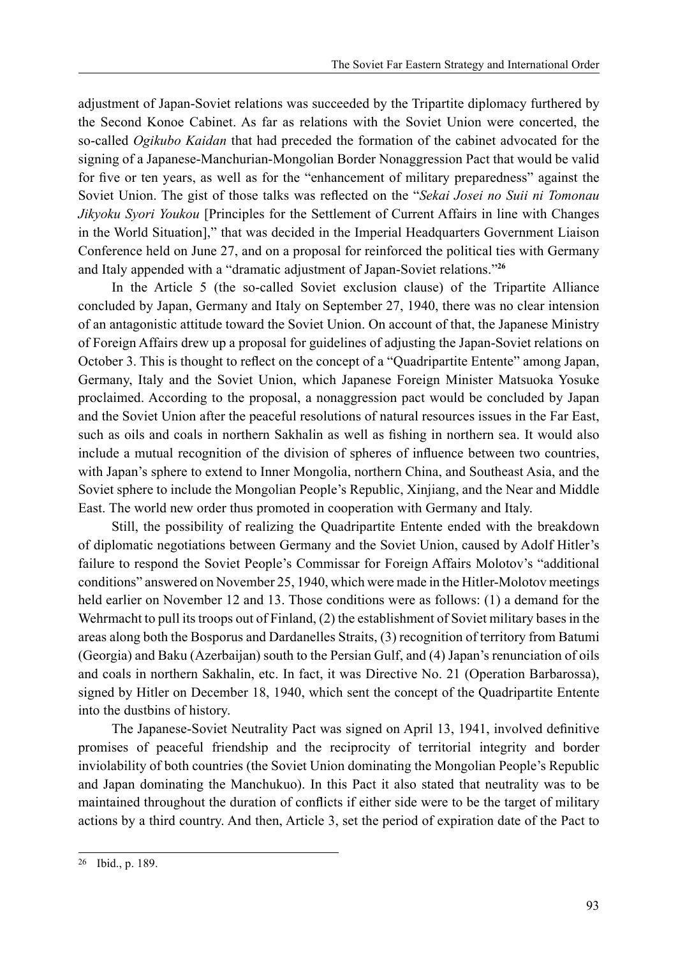adjustment of Japan-Soviet relations was succeeded by the Tripartite diplomacy furthered by the Second Konoe Cabinet. As far as relations with the Soviet Union were concerted, the so-called *Ogikubo Kaidan* that had preceded the formation of the cabinet advocated for the signing of a Japanese-Manchurian-Mongolian Border Nonaggression Pact that would be valid for five or ten years, as well as for the "enhancement of military preparedness" against the Soviet Union. The gist of those talks was reflected on the "*Sekai Josei no Suii ni Tomonau Jikyoku Syori Youkou* [Principles for the Settlement of Current Affairs in line with Changes in the World Situation]," that was decided in the Imperial Headquarters Government Liaison Conference held on June 27, and on a proposal for reinforced the political ties with Germany and Italy appended with a "dramatic adjustment of Japan-Soviet relations."**<sup>26</sup>**

In the Article 5 (the so-called Soviet exclusion clause) of the Tripartite Alliance concluded by Japan, Germany and Italy on September 27, 1940, there was no clear intension of an antagonistic attitude toward the Soviet Union. On account of that, the Japanese Ministry of Foreign Affairs drew up a proposal for guidelines of adjusting the Japan-Soviet relations on October 3. This is thought to reflect on the concept of a "Quadripartite Entente" among Japan, Germany, Italy and the Soviet Union, which Japanese Foreign Minister Matsuoka Yosuke proclaimed. According to the proposal, a nonaggression pact would be concluded by Japan and the Soviet Union after the peaceful resolutions of natural resources issues in the Far East, such as oils and coals in northern Sakhalin as well as fishing in northern sea. It would also include a mutual recognition of the division of spheres of influence between two countries, with Japan's sphere to extend to Inner Mongolia, northern China, and Southeast Asia, and the Soviet sphere to include the Mongolian People's Republic, Xinjiang, and the Near and Middle East. The world new order thus promoted in cooperation with Germany and Italy.

Still, the possibility of realizing the Quadripartite Entente ended with the breakdown of diplomatic negotiations between Germany and the Soviet Union, caused by Adolf Hitler's failure to respond the Soviet People's Commissar for Foreign Affairs Molotov's "additional conditions" answered on November 25, 1940, which were made in the Hitler-Molotov meetings held earlier on November 12 and 13. Those conditions were as follows: (1) a demand for the Wehrmacht to pull its troops out of Finland, (2) the establishment of Soviet military bases in the areas along both the Bosporus and Dardanelles Straits, (3) recognition of territory from Batumi (Georgia) and Baku (Azerbaijan) south to the Persian Gulf, and (4) Japan's renunciation of oils and coals in northern Sakhalin, etc. In fact, it was Directive No. 21 (Operation Barbarossa), signed by Hitler on December 18, 1940, which sent the concept of the Quadripartite Entente into the dustbins of history.

The Japanese-Soviet Neutrality Pact was signed on April 13, 1941, involved definitive promises of peaceful friendship and the reciprocity of territorial integrity and border inviolability of both countries (the Soviet Union dominating the Mongolian People's Republic and Japan dominating the Manchukuo). In this Pact it also stated that neutrality was to be maintained throughout the duration of conflicts if either side were to be the target of military actions by a third country. And then, Article 3, set the period of expiration date of the Pact to

<sup>26</sup> Ibid., p. 189.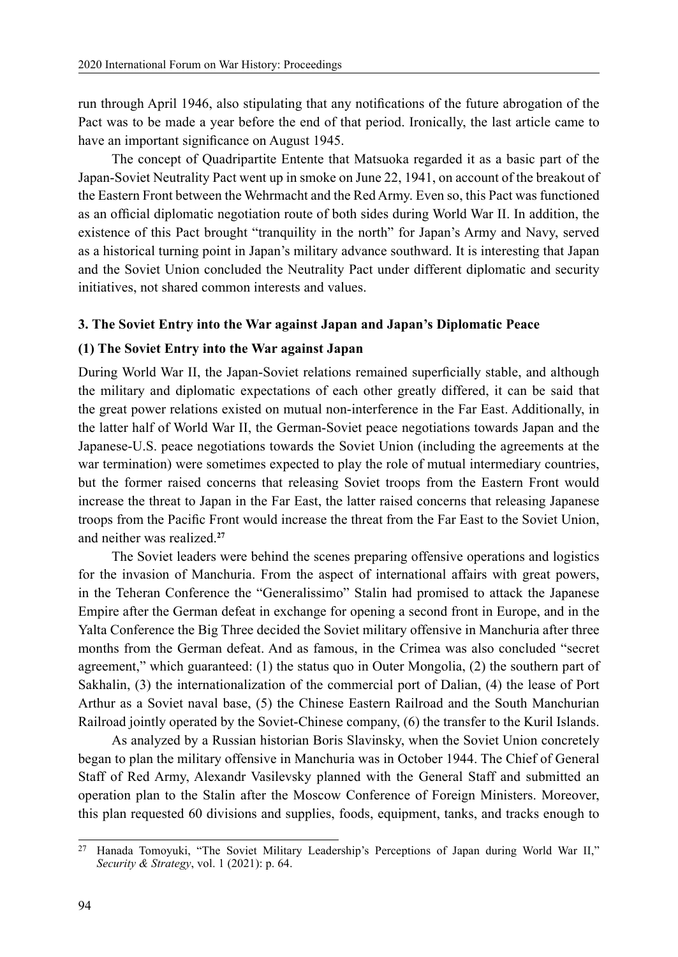run through April 1946, also stipulating that any notifications of the future abrogation of the Pact was to be made a year before the end of that period. Ironically, the last article came to have an important significance on August 1945.

The concept of Quadripartite Entente that Matsuoka regarded it as a basic part of the Japan-Soviet Neutrality Pact went up in smoke on June 22, 1941, on account of the breakout of the Eastern Front between the Wehrmacht and the Red Army. Even so, this Pact was functioned as an official diplomatic negotiation route of both sides during World War II. In addition, the existence of this Pact brought "tranquility in the north" for Japan's Army and Navy, served as a historical turning point in Japan's military advance southward. It is interesting that Japan and the Soviet Union concluded the Neutrality Pact under different diplomatic and security initiatives, not shared common interests and values.

### **3. The Soviet Entry into the War against Japan and Japan's Diplomatic Peace**

### **(1) The Soviet Entry into the War against Japan**

During World War II, the Japan-Soviet relations remained superficially stable, and although the military and diplomatic expectations of each other greatly differed, it can be said that the great power relations existed on mutual non-interference in the Far East. Additionally, in the latter half of World War II, the German-Soviet peace negotiations towards Japan and the Japanese-U.S. peace negotiations towards the Soviet Union (including the agreements at the war termination) were sometimes expected to play the role of mutual intermediary countries, but the former raised concerns that releasing Soviet troops from the Eastern Front would increase the threat to Japan in the Far East, the latter raised concerns that releasing Japanese troops from the Pacific Front would increase the threat from the Far East to the Soviet Union, and neither was realized.**<sup>27</sup>**

The Soviet leaders were behind the scenes preparing offensive operations and logistics for the invasion of Manchuria. From the aspect of international affairs with great powers, in the Teheran Conference the "Generalissimo" Stalin had promised to attack the Japanese Empire after the German defeat in exchange for opening a second front in Europe, and in the Yalta Conference the Big Three decided the Soviet military offensive in Manchuria after three months from the German defeat. And as famous, in the Crimea was also concluded "secret agreement," which guaranteed: (1) the status quo in Outer Mongolia, (2) the southern part of Sakhalin, (3) the internationalization of the commercial port of Dalian, (4) the lease of Port Arthur as a Soviet naval base, (5) the Chinese Eastern Railroad and the South Manchurian Railroad jointly operated by the Soviet-Chinese company, (6) the transfer to the Kuril Islands.

As analyzed by a Russian historian Boris Slavinsky, when the Soviet Union concretely began to plan the military offensive in Manchuria was in October 1944. The Chief of General Staff of Red Army, Alexandr Vasilevsky planned with the General Staff and submitted an operation plan to the Stalin after the Moscow Conference of Foreign Ministers. Moreover, this plan requested 60 divisions and supplies, foods, equipment, tanks, and tracks enough to

<sup>27</sup> Hanada Tomoyuki, "The Soviet Military Leadership's Perceptions of Japan during World War II," *Security & Strategy*, vol. 1 (2021): p. 64.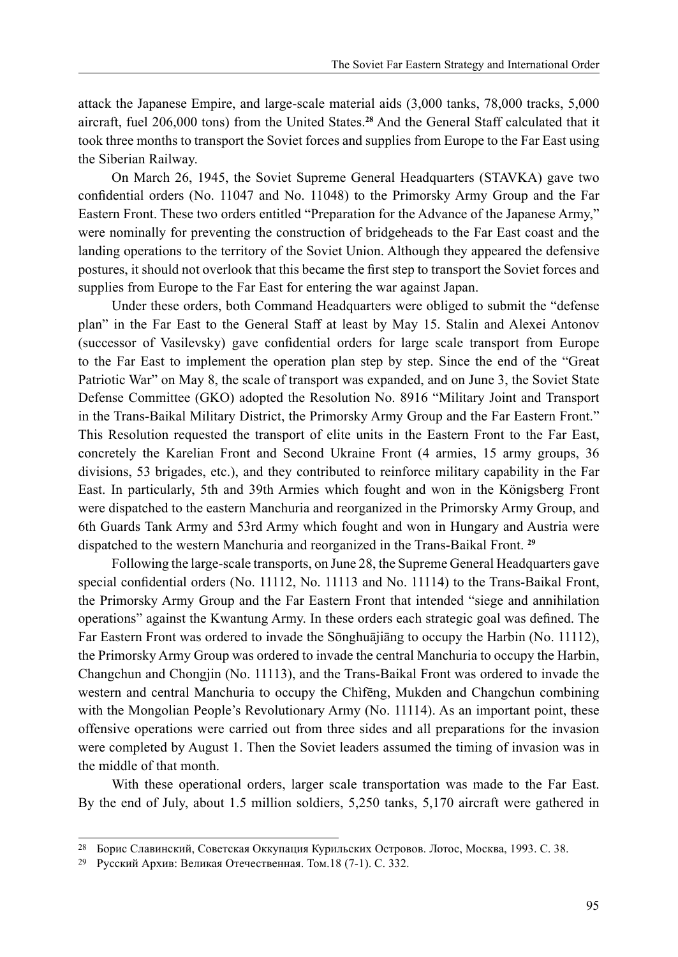attack the Japanese Empire, and large-scale material aids (3,000 tanks, 78,000 tracks, 5,000 aircraft, fuel 206,000 tons) from the United States.**<sup>28</sup>** And the General Staff calculated that it took three months to transport the Soviet forces and supplies from Europe to the Far East using the Siberian Railway.

On March 26, 1945, the Soviet Supreme General Headquarters (STAVKA) gave two confidential orders (No. 11047 and No. 11048) to the Primorsky Army Group and the Far Eastern Front. These two orders entitled "Preparation for the Advance of the Japanese Army," were nominally for preventing the construction of bridgeheads to the Far East coast and the landing operations to the territory of the Soviet Union. Although they appeared the defensive postures, it should not overlook that this became the first step to transport the Soviet forces and supplies from Europe to the Far East for entering the war against Japan.

Under these orders, both Command Headquarters were obliged to submit the "defense plan" in the Far East to the General Staff at least by May 15. Stalin and Alexei Antonov (successor of Vasilevsky) gave confidential orders for large scale transport from Europe to the Far East to implement the operation plan step by step. Since the end of the "Great Patriotic War" on May 8, the scale of transport was expanded, and on June 3, the Soviet State Defense Committee (GKO) adopted the Resolution No. 8916 "Military Joint and Transport in the Trans-Baikal Military District, the Primorsky Army Group and the Far Eastern Front." This Resolution requested the transport of elite units in the Eastern Front to the Far East, concretely the Karelian Front and Second Ukraine Front (4 armies, 15 army groups, 36 divisions, 53 brigades, etc.), and they contributed to reinforce military capability in the Far East. In particularly, 5th and 39th Armies which fought and won in the Königsberg Front were dispatched to the eastern Manchuria and reorganized in the Primorsky Army Group, and 6th Guards Tank Army and 53rd Army which fought and won in Hungary and Austria were dispatched to the western Manchuria and reorganized in the Trans-Baikal Front. **<sup>29</sup>**

Following the large-scale transports, on June 28, the Supreme General Headquarters gave special confidential orders (No. 11112, No. 11113 and No. 11114) to the Trans-Baikal Front, the Primorsky Army Group and the Far Eastern Front that intended "siege and annihilation operations" against the Kwantung Army. In these orders each strategic goal was defined. The Far Eastern Front was ordered to invade the Sōnghuājiāng to occupy the Harbin (No. 11112), the Primorsky Army Group was ordered to invade the central Manchuria to occupy the Harbin, Changchun and Chongjin (No. 11113), and the Trans-Baikal Front was ordered to invade the western and central Manchuria to occupy the Chìfēng, Mukden and Changchun combining with the Mongolian People's Revolutionary Army (No. 11114). As an important point, these offensive operations were carried out from three sides and all preparations for the invasion were completed by August 1. Then the Soviet leaders assumed the timing of invasion was in the middle of that month.

With these operational orders, larger scale transportation was made to the Far East. By the end of July, about 1.5 million soldiers, 5,250 tanks, 5,170 aircraft were gathered in

<sup>28</sup> Борис Славинский, Советская Оккупация Курильских Островов. Лотос, Москва, 1993. С. 38.

<sup>29</sup> Русский Архив: Великая Отечественная. Том.18 (7-1). С. 332.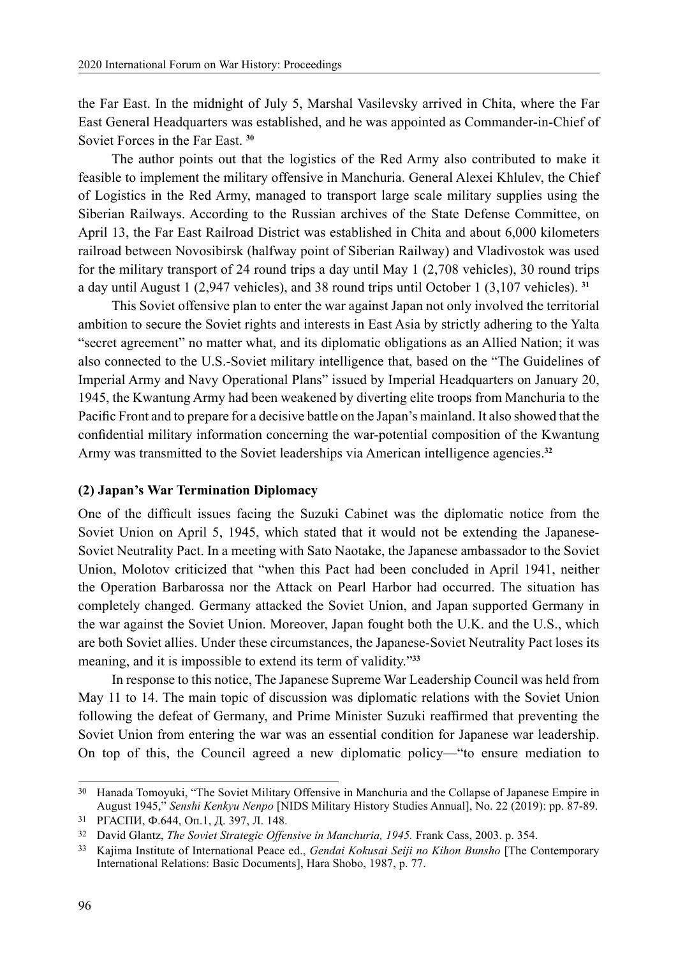the Far East. In the midnight of July 5, Marshal Vasilevsky arrived in Chita, where the Far East General Headquarters was established, and he was appointed as Commander-in-Chief of Soviet Forces in the Far East. **<sup>30</sup>**

The author points out that the logistics of the Red Army also contributed to make it feasible to implement the military offensive in Manchuria. General Alexei Khlulev, the Chief of Logistics in the Red Army, managed to transport large scale military supplies using the Siberian Railways. According to the Russian archives of the State Defense Committee, on April 13, the Far East Railroad District was established in Chita and about 6,000 kilometers railroad between Novosibirsk (halfway point of Siberian Railway) and Vladivostok was used for the military transport of 24 round trips a day until May 1 (2,708 vehicles), 30 round trips a day until August 1 (2,947 vehicles), and 38 round trips until October 1 (3,107 vehicles). **<sup>31</sup>**

This Soviet offensive plan to enter the war against Japan not only involved the territorial ambition to secure the Soviet rights and interests in East Asia by strictly adhering to the Yalta "secret agreement" no matter what, and its diplomatic obligations as an Allied Nation; it was also connected to the U.S.-Soviet military intelligence that, based on the "The Guidelines of Imperial Army and Navy Operational Plans" issued by Imperial Headquarters on January 20, 1945, the Kwantung Army had been weakened by diverting elite troops from Manchuria to the Pacific Front and to prepare for a decisive battle on the Japan's mainland. It also showed that the confidential military information concerning the war-potential composition of the Kwantung Army was transmitted to the Soviet leaderships via American intelligence agencies.**<sup>32</sup>**

### **(2) Japan's War Termination Diplomacy**

One of the difficult issues facing the Suzuki Cabinet was the diplomatic notice from the Soviet Union on April 5, 1945, which stated that it would not be extending the Japanese-Soviet Neutrality Pact. In a meeting with Sato Naotake, the Japanese ambassador to the Soviet Union, Molotov criticized that "when this Pact had been concluded in April 1941, neither the Operation Barbarossa nor the Attack on Pearl Harbor had occurred. The situation has completely changed. Germany attacked the Soviet Union, and Japan supported Germany in the war against the Soviet Union. Moreover, Japan fought both the U.K. and the U.S., which are both Soviet allies. Under these circumstances, the Japanese-Soviet Neutrality Pact loses its meaning, and it is impossible to extend its term of validity."**<sup>33</sup>**

In response to this notice, The Japanese Supreme War Leadership Council was held from May 11 to 14. The main topic of discussion was diplomatic relations with the Soviet Union following the defeat of Germany, and Prime Minister Suzuki reaffirmed that preventing the Soviet Union from entering the war was an essential condition for Japanese war leadership. On top of this, the Council agreed a new diplomatic policy—"to ensure mediation to

<sup>30</sup> Hanada Tomoyuki, "The Soviet Military Offensive in Manchuria and the Collapse of Japanese Empire in August 1945," *Senshi Kenkyu Nenpo* [NIDS Military History Studies Annual], No. 22 (2019): pp. 87-89.

<sup>31</sup> РГАСПИ, Ф.644, Оп.1, Д. 397, Л. 148.

<sup>32</sup> David Glantz, *The Soviet Strategic Offensive in Manchuria, 1945.* Frank Cass, 2003. p. 354.

<sup>33</sup> Kajima Institute of International Peace ed., *Gendai Kokusai Seiji no Kihon Bunsho* [The Contemporary International Relations: Basic Documents], Hara Shobo, 1987, p. 77.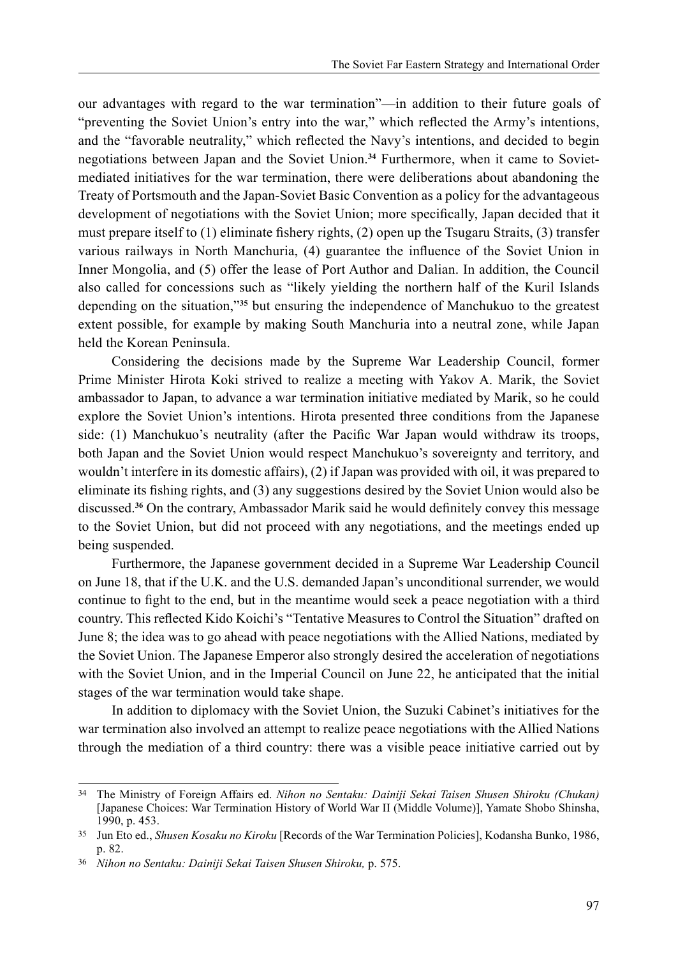our advantages with regard to the war termination"—in addition to their future goals of "preventing the Soviet Union's entry into the war," which reflected the Army's intentions, and the "favorable neutrality," which reflected the Navy's intentions, and decided to begin negotiations between Japan and the Soviet Union.**34** Furthermore, when it came to Sovietmediated initiatives for the war termination, there were deliberations about abandoning the Treaty of Portsmouth and the Japan-Soviet Basic Convention as a policy for the advantageous development of negotiations with the Soviet Union; more specifically, Japan decided that it must prepare itself to (1) eliminate fishery rights, (2) open up the Tsugaru Straits, (3) transfer various railways in North Manchuria, (4) guarantee the influence of the Soviet Union in Inner Mongolia, and (5) offer the lease of Port Author and Dalian. In addition, the Council also called for concessions such as "likely yielding the northern half of the Kuril Islands depending on the situation,"**<sup>35</sup>** but ensuring the independence of Manchukuo to the greatest extent possible, for example by making South Manchuria into a neutral zone, while Japan held the Korean Peninsula.

Considering the decisions made by the Supreme War Leadership Council, former Prime Minister Hirota Koki strived to realize a meeting with Yakov A. Marik, the Soviet ambassador to Japan, to advance a war termination initiative mediated by Marik, so he could explore the Soviet Union's intentions. Hirota presented three conditions from the Japanese side: (1) Manchukuo's neutrality (after the Pacific War Japan would withdraw its troops, both Japan and the Soviet Union would respect Manchukuo's sovereignty and territory, and wouldn't interfere in its domestic affairs), (2) if Japan was provided with oil, it was prepared to eliminate its fishing rights, and (3) any suggestions desired by the Soviet Union would also be discussed.**<sup>36</sup>** On the contrary, Ambassador Marik said he would definitely convey this message to the Soviet Union, but did not proceed with any negotiations, and the meetings ended up being suspended.

Furthermore, the Japanese government decided in a Supreme War Leadership Council on June 18, that if the U.K. and the U.S. demanded Japan's unconditional surrender, we would continue to fight to the end, but in the meantime would seek a peace negotiation with a third country. This reflected Kido Koichi's "Tentative Measures to Control the Situation" drafted on June 8; the idea was to go ahead with peace negotiations with the Allied Nations, mediated by the Soviet Union. The Japanese Emperor also strongly desired the acceleration of negotiations with the Soviet Union, and in the Imperial Council on June 22, he anticipated that the initial stages of the war termination would take shape.

In addition to diplomacy with the Soviet Union, the Suzuki Cabinet's initiatives for the war termination also involved an attempt to realize peace negotiations with the Allied Nations through the mediation of a third country: there was a visible peace initiative carried out by

<sup>34</sup> The Ministry of Foreign Affairs ed. *Nihon no Sentaku: Dainiji Sekai Taisen Shusen Shiroku (Chukan)*  [Japanese Choices: War Termination History of World War II (Middle Volume)], Yamate Shobo Shinsha, 1990, p. 453.

<sup>35</sup> Jun Eto ed., *Shusen Kosaku no Kiroku* [Records of the War Termination Policies], Kodansha Bunko, 1986, p. 82.

<sup>36</sup> *Nihon no Sentaku: Dainiji Sekai Taisen Shusen Shiroku,* p. 575.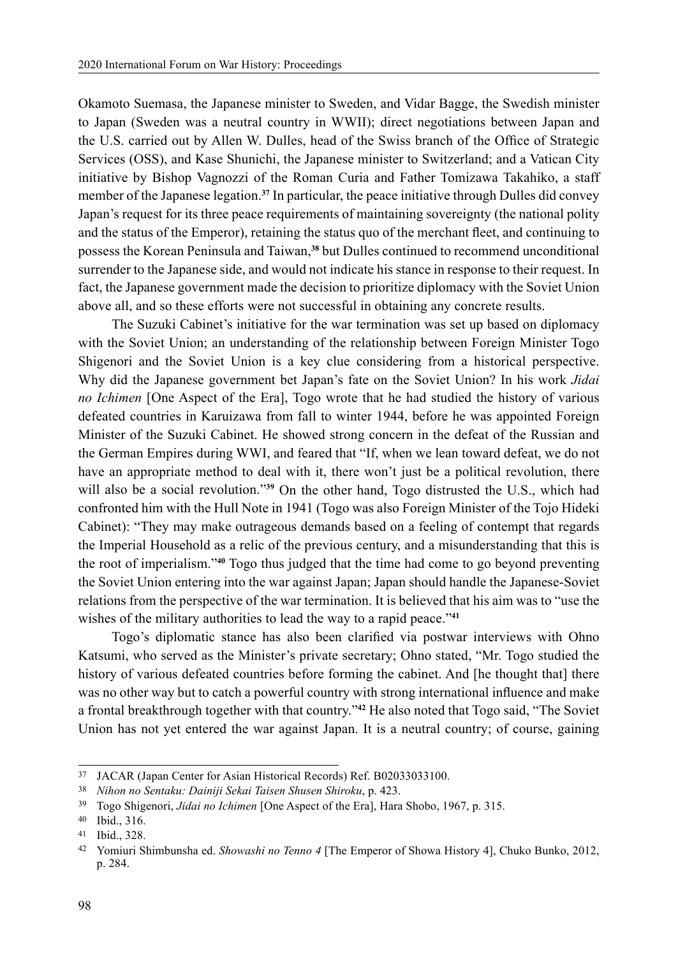Okamoto Suemasa, the Japanese minister to Sweden, and Vidar Bagge, the Swedish minister to Japan (Sweden was a neutral country in WWII); direct negotiations between Japan and the U.S. carried out by Allen W. Dulles, head of the Swiss branch of the Office of Strategic Services (OSS), and Kase Shunichi, the Japanese minister to Switzerland; and a Vatican City initiative by Bishop Vagnozzi of the Roman Curia and Father Tomizawa Takahiko, a staff member of the Japanese legation.**<sup>37</sup>** In particular, the peace initiative through Dulles did convey Japan's request for its three peace requirements of maintaining sovereignty (the national polity and the status of the Emperor), retaining the status quo of the merchant fleet, and continuing to possess the Korean Peninsula and Taiwan,**<sup>38</sup>** but Dulles continued to recommend unconditional surrender to the Japanese side, and would not indicate his stance in response to their request. In fact, the Japanese government made the decision to prioritize diplomacy with the Soviet Union above all, and so these efforts were not successful in obtaining any concrete results.

The Suzuki Cabinet's initiative for the war termination was set up based on diplomacy with the Soviet Union; an understanding of the relationship between Foreign Minister Togo Shigenori and the Soviet Union is a key clue considering from a historical perspective. Why did the Japanese government bet Japan's fate on the Soviet Union? In his work *Jidai no Ichimen* [One Aspect of the Era], Togo wrote that he had studied the history of various defeated countries in Karuizawa from fall to winter 1944, before he was appointed Foreign Minister of the Suzuki Cabinet. He showed strong concern in the defeat of the Russian and the German Empires during WWI, and feared that "If, when we lean toward defeat, we do not have an appropriate method to deal with it, there won't just be a political revolution, there will also be a social revolution."**<sup>39</sup>** On the other hand, Togo distrusted the U.S., which had confronted him with the Hull Note in 1941 (Togo was also Foreign Minister of the Tojo Hideki Cabinet): "They may make outrageous demands based on a feeling of contempt that regards the Imperial Household as a relic of the previous century, and a misunderstanding that this is the root of imperialism."**<sup>40</sup>** Togo thus judged that the time had come to go beyond preventing the Soviet Union entering into the war against Japan; Japan should handle the Japanese-Soviet relations from the perspective of the war termination. It is believed that his aim was to "use the wishes of the military authorities to lead the way to a rapid peace."**<sup>41</sup>**

Togo's diplomatic stance has also been clarified via postwar interviews with Ohno Katsumi, who served as the Minister's private secretary; Ohno stated, "Mr. Togo studied the history of various defeated countries before forming the cabinet. And [he thought that] there was no other way but to catch a powerful country with strong international influence and make a frontal breakthrough together with that country."**<sup>42</sup>** He also noted that Togo said, "The Soviet Union has not yet entered the war against Japan. It is a neutral country; of course, gaining

<sup>37</sup> JACAR (Japan Center for Asian Historical Records) Ref. B02033033100.

<sup>38</sup> *Nihon no Sentaku: Dainiji Sekai Taisen Shusen Shiroku*, p. 423.

<sup>39</sup> Togo Shigenori, *Jidai no Ichimen* [One Aspect of the Era], Hara Shobo, 1967, p. 315.

<sup>40</sup> Ibid., 316.

<sup>41</sup> Ibid., 328.

<sup>42</sup> Yomiuri Shimbunsha ed. *Showashi no Tenno 4* [The Emperor of Showa History 4], Chuko Bunko, 2012, p. 284.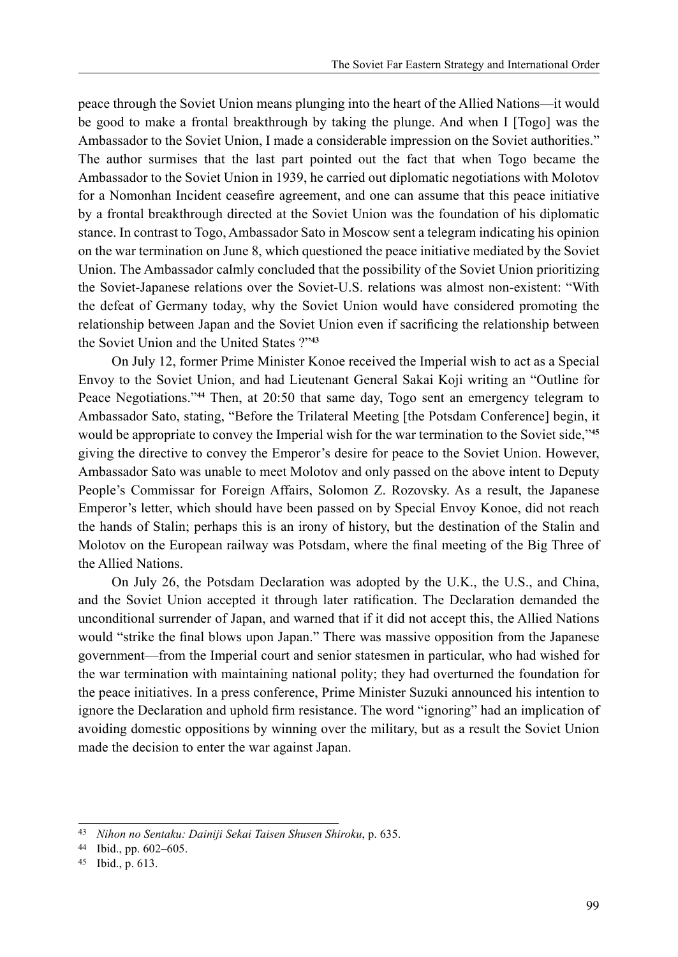peace through the Soviet Union means plunging into the heart of the Allied Nations—it would be good to make a frontal breakthrough by taking the plunge. And when I [Togo] was the Ambassador to the Soviet Union, I made a considerable impression on the Soviet authorities." The author surmises that the last part pointed out the fact that when Togo became the Ambassador to the Soviet Union in 1939, he carried out diplomatic negotiations with Molotov for a Nomonhan Incident ceasefire agreement, and one can assume that this peace initiative by a frontal breakthrough directed at the Soviet Union was the foundation of his diplomatic stance. In contrast to Togo, Ambassador Sato in Moscow sent a telegram indicating his opinion on the war termination on June 8, which questioned the peace initiative mediated by the Soviet Union. The Ambassador calmly concluded that the possibility of the Soviet Union prioritizing the Soviet-Japanese relations over the Soviet-U.S. relations was almost non-existent: "With the defeat of Germany today, why the Soviet Union would have considered promoting the relationship between Japan and the Soviet Union even if sacrificing the relationship between the Soviet Union and the United States ?"**<sup>43</sup>**

On July 12, former Prime Minister Konoe received the Imperial wish to act as a Special Envoy to the Soviet Union, and had Lieutenant General Sakai Koji writing an "Outline for Peace Negotiations."**<sup>44</sup>** Then, at 20:50 that same day, Togo sent an emergency telegram to Ambassador Sato, stating, "Before the Trilateral Meeting [the Potsdam Conference] begin, it would be appropriate to convey the Imperial wish for the war termination to the Soviet side,"**<sup>45</sup>** giving the directive to convey the Emperor's desire for peace to the Soviet Union. However, Ambassador Sato was unable to meet Molotov and only passed on the above intent to Deputy People's Commissar for Foreign Affairs, Solomon Z. Rozovsky. As a result, the Japanese Emperor's letter, which should have been passed on by Special Envoy Konoe, did not reach the hands of Stalin; perhaps this is an irony of history, but the destination of the Stalin and Molotov on the European railway was Potsdam, where the final meeting of the Big Three of the Allied Nations.

On July 26, the Potsdam Declaration was adopted by the U.K., the U.S., and China, and the Soviet Union accepted it through later ratification. The Declaration demanded the unconditional surrender of Japan, and warned that if it did not accept this, the Allied Nations would "strike the final blows upon Japan." There was massive opposition from the Japanese government—from the Imperial court and senior statesmen in particular, who had wished for the war termination with maintaining national polity; they had overturned the foundation for the peace initiatives. In a press conference, Prime Minister Suzuki announced his intention to ignore the Declaration and uphold firm resistance. The word "ignoring" had an implication of avoiding domestic oppositions by winning over the military, but as a result the Soviet Union made the decision to enter the war against Japan.

<sup>43</sup> *Nihon no Sentaku: Dainiji Sekai Taisen Shusen Shiroku*, p. 635.

<sup>44</sup> Ibid., pp. 602–605.

<sup>45</sup> Ibid., p. 613.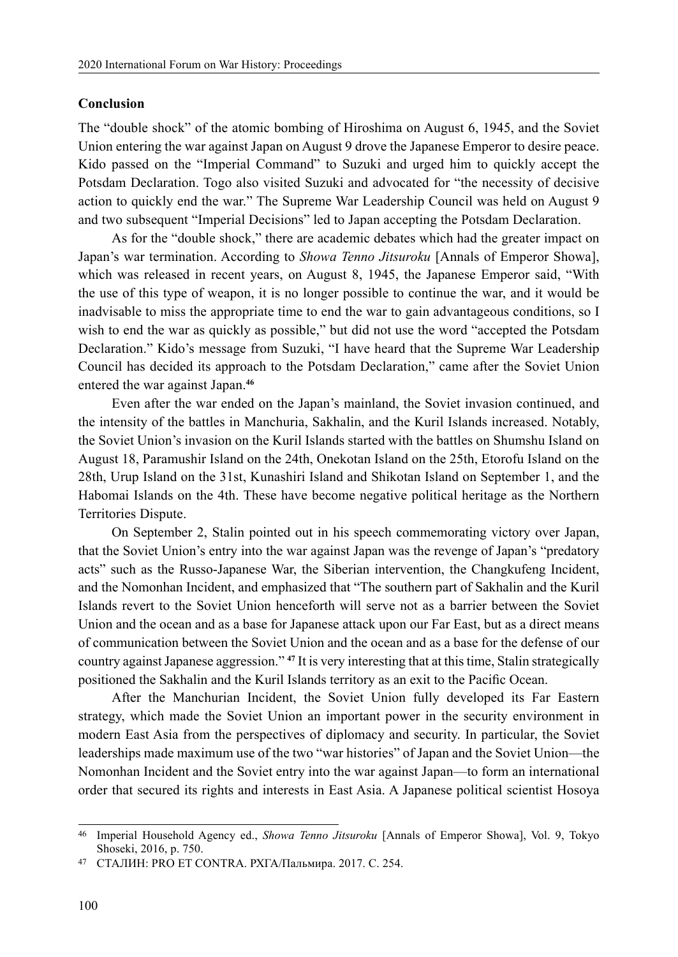### **Conclusion**

The "double shock" of the atomic bombing of Hiroshima on August 6, 1945, and the Soviet Union entering the war against Japan on August 9 drove the Japanese Emperor to desire peace. Kido passed on the "Imperial Command" to Suzuki and urged him to quickly accept the Potsdam Declaration. Togo also visited Suzuki and advocated for "the necessity of decisive action to quickly end the war." The Supreme War Leadership Council was held on August 9 and two subsequent "Imperial Decisions" led to Japan accepting the Potsdam Declaration.

As for the "double shock," there are academic debates which had the greater impact on Japan's war termination. According to *Showa Tenno Jitsuroku* [Annals of Emperor Showa], which was released in recent years, on August 8, 1945, the Japanese Emperor said, "With the use of this type of weapon, it is no longer possible to continue the war, and it would be inadvisable to miss the appropriate time to end the war to gain advantageous conditions, so I wish to end the war as quickly as possible," but did not use the word "accepted the Potsdam Declaration." Kido's message from Suzuki, "I have heard that the Supreme War Leadership Council has decided its approach to the Potsdam Declaration," came after the Soviet Union entered the war against Japan.**<sup>46</sup>**

Even after the war ended on the Japan's mainland, the Soviet invasion continued, and the intensity of the battles in Manchuria, Sakhalin, and the Kuril Islands increased. Notably, the Soviet Union's invasion on the Kuril Islands started with the battles on Shumshu Island on August 18, Paramushir Island on the 24th, Onekotan Island on the 25th, Etorofu Island on the 28th, Urup Island on the 31st, Kunashiri Island and Shikotan Island on September 1, and the Habomai Islands on the 4th. These have become negative political heritage as the Northern Territories Dispute.

On September 2, Stalin pointed out in his speech commemorating victory over Japan, that the Soviet Union's entry into the war against Japan was the revenge of Japan's "predatory acts" such as the Russo-Japanese War, the Siberian intervention, the Changkufeng Incident, and the Nomonhan Incident, and emphasized that "The southern part of Sakhalin and the Kuril Islands revert to the Soviet Union henceforth will serve not as a barrier between the Soviet Union and the ocean and as a base for Japanese attack upon our Far East, but as a direct means of communication between the Soviet Union and the ocean and as a base for the defense of our country against Japanese aggression." **<sup>47</sup>** It is very interesting that at this time, Stalin strategically positioned the Sakhalin and the Kuril Islands territory as an exit to the Pacific Ocean.

After the Manchurian Incident, the Soviet Union fully developed its Far Eastern strategy, which made the Soviet Union an important power in the security environment in modern East Asia from the perspectives of diplomacy and security. In particular, the Soviet leaderships made maximum use of the two "war histories" of Japan and the Soviet Union—the Nomonhan Incident and the Soviet entry into the war against Japan—to form an international order that secured its rights and interests in East Asia. A Japanese political scientist Hosoya

<sup>46</sup> Imperial Household Agency ed., *Showa Tenno Jitsuroku* [Annals of Emperor Showa], Vol. 9, Tokyo Shoseki, 2016, p. 750.

<sup>47</sup> СТАЛИН: PRO ET CONTRA. РХГА/Пальмира. 2017. C. 254.